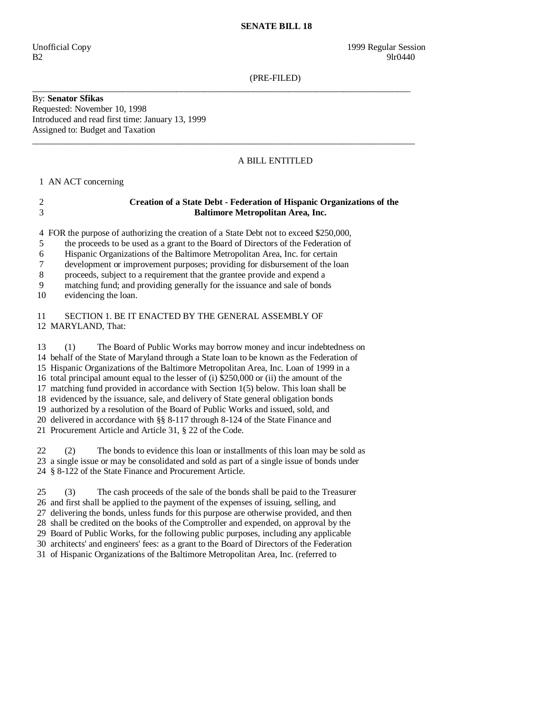## **SENATE BILL 18**

(PRE-FILED)

\_\_\_\_\_\_\_\_\_\_\_\_\_\_\_\_\_\_\_\_\_\_\_\_\_\_\_\_\_\_\_\_\_\_\_\_\_\_\_\_\_\_\_\_\_\_\_\_\_\_\_\_\_\_\_\_\_\_\_\_\_\_\_\_\_\_\_\_\_\_\_\_\_\_\_\_\_\_\_\_\_\_\_\_

 $\_$  ,  $\_$  ,  $\_$  ,  $\_$  ,  $\_$  ,  $\_$  ,  $\_$  ,  $\_$  ,  $\_$  ,  $\_$  ,  $\_$  ,  $\_$  ,  $\_$  ,  $\_$  ,  $\_$  ,  $\_$  ,  $\_$  ,  $\_$  ,  $\_$  ,  $\_$  ,  $\_$  ,  $\_$  ,  $\_$  ,  $\_$  ,  $\_$  ,  $\_$  ,  $\_$  ,  $\_$  ,  $\_$  ,  $\_$  ,  $\_$  ,  $\_$  ,  $\_$  ,  $\_$  ,  $\_$  ,  $\_$  ,  $\_$  ,

By: **Senator Sfikas**  Requested: November 10, 1998 Introduced and read first time: January 13, 1999 Assigned to: Budget and Taxation

## A BILL ENTITLED

1 AN ACT concerning

## 2 **Creation of a State Debt - Federation of Hispanic Organizations of the**  3 **Baltimore Metropolitan Area, Inc.**

4 FOR the purpose of authorizing the creation of a State Debt not to exceed \$250,000,

- 5 the proceeds to be used as a grant to the Board of Directors of the Federation of
- 6 Hispanic Organizations of the Baltimore Metropolitan Area, Inc. for certain
- 7 development or improvement purposes; providing for disbursement of the loan
- 8 proceeds, subject to a requirement that the grantee provide and expend a

9 matching fund; and providing generally for the issuance and sale of bonds

10 evidencing the loan.

 11 SECTION 1. BE IT ENACTED BY THE GENERAL ASSEMBLY OF 12 MARYLAND, That:

13 (1) The Board of Public Works may borrow money and incur indebtedness on

14 behalf of the State of Maryland through a State loan to be known as the Federation of

 15 Hispanic Organizations of the Baltimore Metropolitan Area, Inc. Loan of 1999 in a 16 total principal amount equal to the lesser of (i) \$250,000 or (ii) the amount of the

17 matching fund provided in accordance with Section 1(5) below. This loan shall be

18 evidenced by the issuance, sale, and delivery of State general obligation bonds

19 authorized by a resolution of the Board of Public Works and issued, sold, and

20 delivered in accordance with §§ 8-117 through 8-124 of the State Finance and

21 Procurement Article and Article 31, § 22 of the Code.

 22 (2) The bonds to evidence this loan or installments of this loan may be sold as 23 a single issue or may be consolidated and sold as part of a single issue of bonds under 24 § 8-122 of the State Finance and Procurement Article.

 25 (3) The cash proceeds of the sale of the bonds shall be paid to the Treasurer 26 and first shall be applied to the payment of the expenses of issuing, selling, and 27 delivering the bonds, unless funds for this purpose are otherwise provided, and then 28 shall be credited on the books of the Comptroller and expended, on approval by the 29 Board of Public Works, for the following public purposes, including any applicable 30 architects' and engineers' fees: as a grant to the Board of Directors of the Federation 31 of Hispanic Organizations of the Baltimore Metropolitan Area, Inc. (referred to